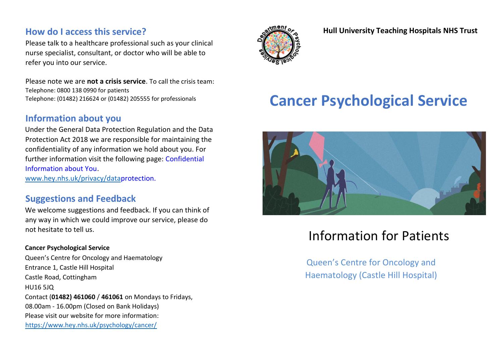### **How do I access this service?**

Please talk to a healthcare professional such as your clinical nurse specialist, consultant, or doctor who will be able to refer you into our service.

Please note we are **not a crisis service**. To call the crisis team: Telephone: 0800 138 0990 for patients Telephone: (01482) 216624 or (01482) 205555 for professionals

### **Information about you**

Under the General Data Protection Regulation and the Data Protection Act 2018 we are responsible for maintaining the confidentiality of any information we hold about you. For further information visit the following page[:](https://www.hey.nhs.uk/patients-and-visitors/confidential-information-about-you/) [Confidential](https://www.hey.nhs.uk/patients-and-visitors/confidential-information-about-you/)  [Information about You.](https://www.hey.nhs.uk/patients-and-visitors/confidential-information-about-you/)

[www.hey.nhs.uk/privacy/data](http://www.hey.nhs.uk/privacy/data)[protection.](http://www.hey.nhs.uk/privacy/data-protection)

### **Suggestions and Feedback**

We welcome suggestions and feedback. If you can think of any way in which we could improve our service, please do not hesitate to tell us.

#### **Cancer Psychological Service**

Queen's Centre for Oncology and Haematology Entrance 1, Castle Hill Hospital Castle Road, Cottingham HU16 5JQ Contact (**01482) 461060** / **461061** on Mondays to Fridays, 08.00am - 16.00pm (Closed on Bank Holidays) Please visit our website for more information: <https://www.hey.nhs.uk/psychology/cancer/>



**Hull University Teaching Hospitals NHS Trust**

# **Cancer Psychological Service**



## Information for Patients

Queen's Centre for Oncology and Haematology (Castle Hill Hospital)